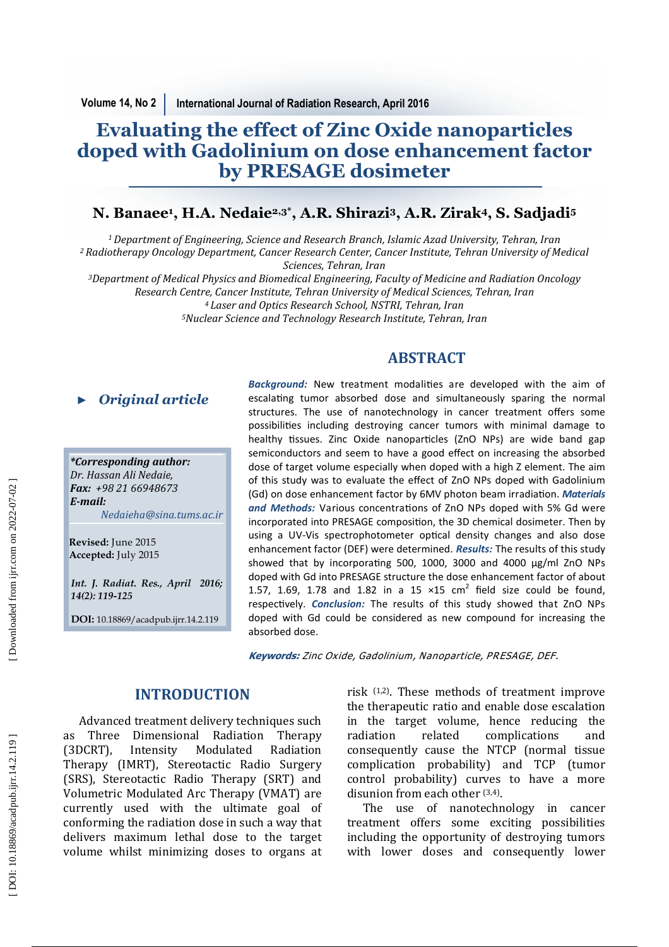# **Evaluating the effect of Zinc Oxide nanoparticles doped with Gadolinium on dose enhancement factor by PRESAGE dosimeter**

# **N. Banaee 1 , H.A. Nedaie2,3\*, A.R. Shirazi <sup>3</sup>, A.R. Zirak4, S. Sadjadi<sup>5</sup>**

<sup>1</sup> Department of Engineering, Science and Research Branch, Islamic Azad University, Tehran, Iran *<sup>2</sup>Radiotherapy Oncology Department, Cancer Research Center, Cancer Institute, Tehran University of Medical Sciences, Tehran, Iran* 

<sup>3</sup>Department of Medical Physics and Biomedical Engineering, Faculty of Medicine and Radiation Oncology *Research Centre, Cancer Institute, Tehran University of Medical Sciences, Tehran, Iran <sup>4</sup>Laser and Optics Research School, NSTRI, Tehran, Iran*

<sup>5</sup>*Nuclear Science and Technology Research Institute, Tehran, Iran* 

*\*Corresponding author:*  Dr. Hassan Ali Nedaie, *Fax: +98 21 66948673 E-mail: Nedaieha@sina.tums.ac.ir ► Original article*<br> *\*Corresponding author:*<br> *Dr. Hassan Ali Nedaie,*<br> *Fax: +98* 21 66948673<br> *E-mail:*<br> *Nedaieha@sina.tums.ac*<br>
Revised: June 2015<br>
Accepted: July 2015<br> *Int. J. Radiat. Res., April 20*:<br>
14(2): 119-

**Revised:** June 2015 **Accepted:** July 2015

*Int. J. Radiat. Res., April 2016;* 

**DOI:** 10.18869/acadpub.ijrr.14.2.119

**Background:** New treatment modalities are developed with the aim of escalating tumor absorbed dose and simultaneously sparing the normal structures. The use of nanotechnology in cancer treatment offers some possibilies including destroying cancer tumors with minimal damage to healthy tissues. Zinc Oxide nanoparticles (ZnO NPs) are wide band gap semiconductors and seem to have a good effect on increasing the absorbed dose of target volume especially when doped with a high Z element. The aim of this study was to evaluate the effect of ZnO NPs doped with Gadolinium (Gd) on dose enhancement factor by 6MV photon beam irradiation. *Materials* and Methods: Various concentrations of ZnO NPs doped with 5% Gd were incorporated into PRESAGE composition, the 3D chemical dosimeter. Then by using a UV-Vis spectrophotometer optical density changes and also dose enhancement factor (DEF) were determined. *Results:* The results of this study showed that by incorporating 500, 1000, 3000 and 4000  $\mu$ g/ml ZnO NPs doped with Gd into PRESAGE structure the dose enhancement factor of about 1.57, 1.69, 1.78 and 1.82 in a 15  $\times$ 15 cm<sup>2</sup> field size could be found, respectively. *Conclusion:* The results of this study showed that ZnO NPs doped with Gd could be considered as new compound for increasing the absorbed dose.

**ABSTRACT** 

**Keywords:** Zinc Oxide, Gadolinium, Nanoparticle, PRESAGE, DEF.

# **INTRODUCTION**

Advanced treatment delivery techniques such as Three Dimensional Radiation Therapy (3DCRT), Intensity Modulated Radiation Therapy (IMRT), Stereotactic Radio Surgery (SRS), Stereotactic Radio Therapy (SRT) and Volumetric Modulated Arc Therapy (VMAT) are currently used with the ultimate goal of conforming the radiation dose in such a way that delivers maximum lethal dose to the target volume whilst minimizing doses to organs at risk  $(1,2)$ . These methods of treatment improve the therapeutic ratio and enable dose escalation in the target volume, hence reducing the radiation related complications and consequently cause the NTCP (normal tissue complication probability) and TCP (tumor control probability) curves to have a more disunion from each other <sup>(3,4)</sup>.

The use of nanotechnology in cancer treatment offers some exciting possibilities including the opportunity of destroying tumors with lower doses and consequently lower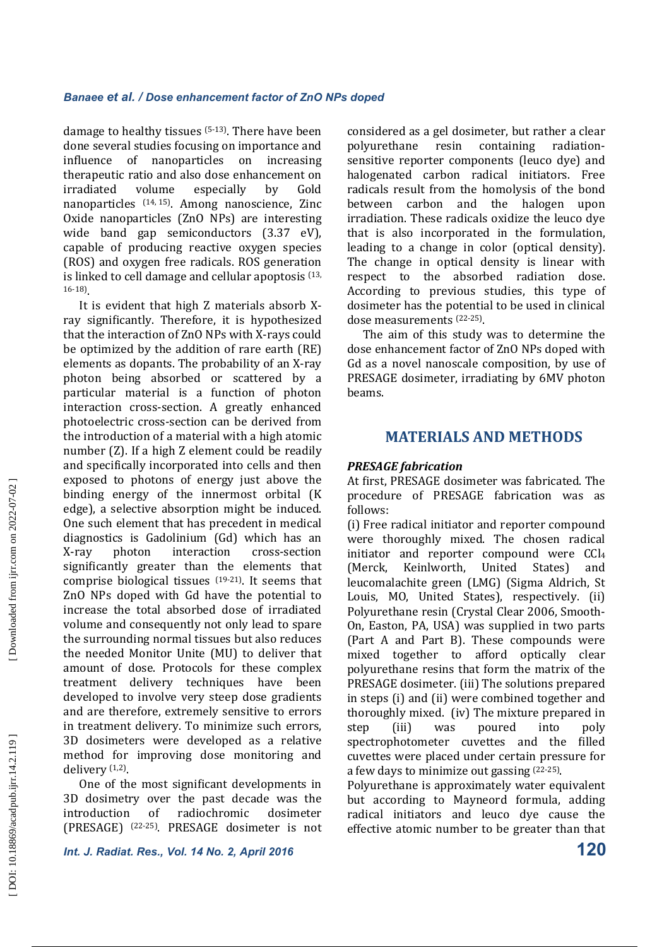damage to healthy tissues  $(5-13)$ . There have been done several studies focusing on importance and influence of nanoparticles on increasing therapeutic ratio and also dose enhancement on irradiated volume especially by Gold nanoparticles  $(14, 15)$ . Among nanoscience, Zinc Oxide nanoparticles (ZnO NPs) are interesting wide band gap semiconductors  $(3.37 \text{ eV})$ , capable of producing reactive oxygen species (ROS) and oxygen free radicals. ROS generation is linked to cell damage and cellular apoptosis  $(13, 12)$ 16-18) . 

It is evident that high  $Z$  materials absorb  $X$ ray significantly. Therefore, it is hypothesized that the interaction of ZnO NPs with X-rays could be optimized by the addition of rare earth (RE) elements as dopants. The probability of an X-ray photon being absorbed or scattered by a particular material is a function of photon interaction cross-section. A greatly enhanced photoelectric cross-section can be derived from the introduction of a material with a high atomic number  $(Z)$ . If a high  $Z$  element could be readily and specifically incorporated into cells and then exposed to photons of energy just above the binding energy of the innermost orbital (K edge), a selective absorption might be induced. One such element that has precedent in medical diagnostics is Gadolinium (Gd) which has an X-ray photon interaction cross-section significantly greater than the elements that comprise biological tissues  $(19-21)$ . It seems that ZnO NPs doped with Gd have the potential to increase the total absorbed dose of irradiated volume and consequently not only lead to spare the surrounding normal tissues but also reduces the needed Monitor Unite (MU) to deliver that amount of dose. Protocols for these complex treatment delivery techniques have been developed to involve very steep dose gradients and are therefore, extremely sensitive to errors in treatment delivery. To minimize such errors, 3D dosimeters were developed as a relative method for improving dose monitoring and delivery <sup>(1,2)</sup>.

One of the most significant developments in 3D dosimetry over the past decade was the introduction of radiochromic dosimeter (PRESAGE) <sup>(22-25)</sup>. PRESAGE dosimeter is not considered as a gel dosimeter, but rather a clear polyurethane resin containing radiationsensitive reporter components (leuco dye) and halogenated carbon radical initiators. Free radicals result from the homolysis of the bond between carbon and the halogen upon irradiation. These radicals oxidize the leuco dye that is also incorporated in the formulation, leading to a change in color (optical density). The change in optical density is linear with respect to the absorbed radiation dose. According to previous studies, this type of dosimeter has the potential to be used in clinical dose measurements (22-25).

The aim of this study was to determine the dose enhancement factor of ZnO NPs doped with Gd as a novel nanoscale composition, by use of PRESAGE dosimeter, irradiating by 6MV photon beams. 

# **MATERIALS AND METHODS**

# **PRESAGE** fabrication

At first, PRESAGE dosimeter was fabricated. The procedure of PRESAGE fabrication was as follows: 

(i) Free radical initiator and reporter compound were thoroughly mixed. The chosen radical initiator and reporter compound were CCl<sub>4</sub> (Merck, Keinlworth, United States) and leucomalachite green (LMG) (Sigma Aldrich, St Louis, MO, United States), respectively. (ii) Polyurethane resin (Crystal Clear 2006, Smooth-On, Easton, PA, USA) was supplied in two parts (Part A and Part B). These compounds were mixed together to afford optically clear polyurethane resins that form the matrix of the PRESAGE dosimeter. (iii) The solutions prepared in steps (i) and (ii) were combined together and thoroughly mixed. (iv) The mixture prepared in step (iii) was poured into poly spectrophotometer cuvettes and the filled cuvettes were placed under certain pressure for a few days to minimize out gassing <sup>(22-25)</sup>.

Polyurethane is approximately water equivalent but according to Mayneord formula, adding radical initiators and leuco dye cause the effective atomic number to be greater than that

*Int. J. Radiat. Res., Vol. 14 No. 2, April 2016* **120**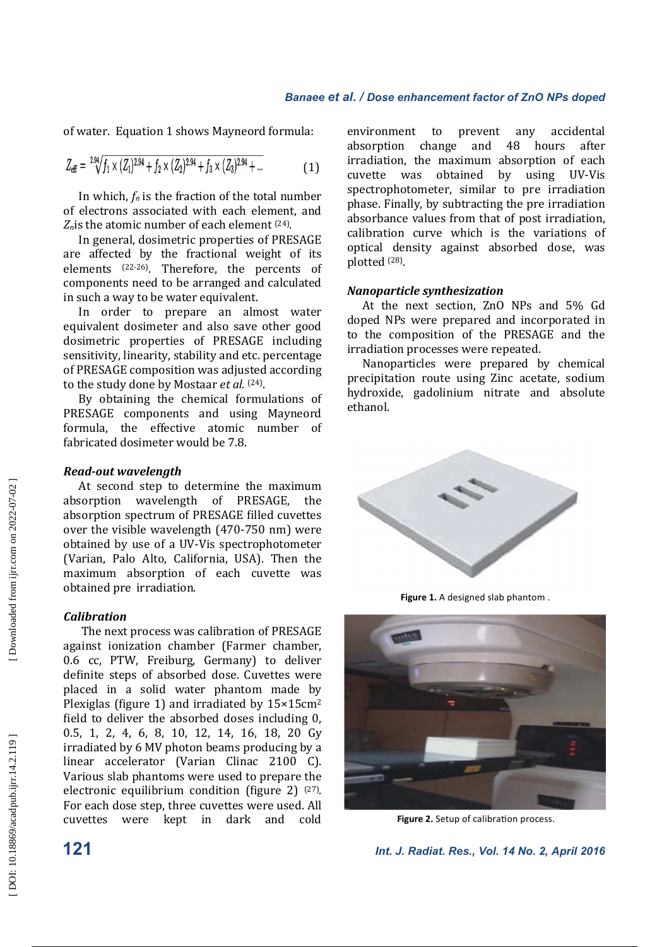of water. Equation 1 shows Mayneord formula:

$$
Z_{\text{eff}} = {}^{2.94} \sqrt{f_1 \times (Z_1)^{2.94} + f_2 \times (Z_2)^{2.94} + f_3 \times (Z_3)^{2.94} + \dots}
$$
 (1)

In which,  $f_n$  is the fraction of the total number of electrons associated with each element, and  $Z_n$  is the atomic number of each element  $(24)$ .

In general, dosimetric properties of PRESAGE are affected by the fractional weight of its elements  $(22-26)$ . Therefore, the percents of components need to be arranged and calculated in such a way to be water equivalent.

In order to prepare an almost water equivalent dosimeter and also save other good dosimetric properties of PRESAGE including sensitivity, linearity, stability and etc. percentage of PRESAGE composition was adjusted according to the study done by Mostaar *et al.* <sup>(24)</sup>.

By obtaining the chemical formulations of PRESAGE components and using Mayneord formula, the effective atomic number of fabricated dosimeter would be 7.8.

#### *Read-out wavelength*

At second step to determine the maximum absorption wavelength of PRESAGE, the absorption spectrum of PRESAGE filled cuvettes over the visible wavelength  $(470-750 \text{ nm})$  were obtained by use of a UV-Vis spectrophotometer (Varian, Palo Alto, California, USA). Then the maximum absorption of each cuvette was obtained pre irradiation.

#### *Calibration*

The next process was calibration of PRESAGE against ionization chamber (Farmer chamber, 0.6 cc, PTW, Freiburg, Germany) to deliver definite steps of absorbed dose. Cuvettes were placed in a solid water phantom made by Plexiglas (figure 1) and irradiated by  $15\times15$ cm<sup>2</sup> field to deliver the absorbed doses including 0, 0.5, 1, 2, 4, 6, 8, 10, 12, 14, 16, 18, 20 Gy irradiated by 6 MV photon beams producing by a linear accelerator (Varian Clinac 2100 C). Various slab phantoms were used to prepare the electronic equilibrium condition (figure 2)  $(27)$ . For each dose step, three cuvettes were used. All cuvettes were kept in dark and cold 

environment to prevent any accidental absorption change and 48 hours after irradiation, the maximum absorption of each cuvette was obtained by using UV-Vis spectrophotometer, similar to pre irradiation phase. Finally, by subtracting the pre irradiation absorbance values from that of post irradiation, calibration curve which is the variations of optical density against absorbed dose, was plotted <sup>(28)</sup>.

#### *Nanoparticle synthesization*

At the next section, ZnO NPs and 5% Gd doped NPs were prepared and incorporated in to the composition of the PRESAGE and the irradiation processes were repeated.

Nanoparticles were prepared by chemical precipitation route using Zinc acetate, sodium hydroxide, gadolinium nitrate and absolute ethanol. 



**Figure 1.** A designed slab phantom .



Figure 2. Setup of calibration process.

**121** *Int. J. Radiat. Res., Vol. 14 No. 2, April 2016*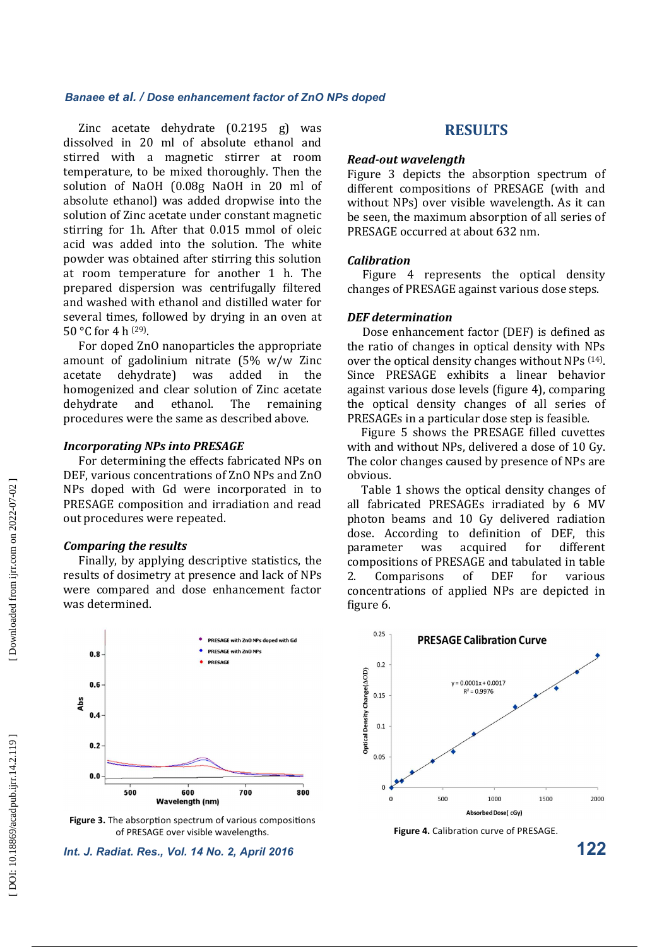Zinc acetate dehydrate  $(0.2195 \text{ g})$  was dissolved in 20 ml of absolute ethanol and stirred with a magnetic stirrer at room temperature, to be mixed thoroughly. Then the solution of NaOH (0.08g NaOH in 20 ml of absolute ethanol) was added dropwise into the solution of Zinc acetate under constant magnetic stirring for 1h. After that 0.015 mmol of oleic acid was added into the solution. The white powder was obtained after stirring this solution at room temperature for another 1 h. The prepared dispersion was centrifugally filtered and washed with ethanol and distilled water for several times, followed by drying in an oven at 50 °C for 4 h  $^{(29)}$ .

For doped ZnO nanoparticles the appropriate amount of gadolinium nitrate  $(5\% \t w/w \t Zinc$ acetate dehydrate) was added in the homogenized and clear solution of Zinc acetate dehydrate and ethanol. The remaining procedures were the same as described above.

#### **Incorporating NPs into PRESAGE**

For determining the effects fabricated NPs on DEF, various concentrations of ZnO NPs and ZnO NPs doped with Gd were incorporated in to PRESAGE composition and irradiation and read out procedures were repeated.

### *Comparing the results*

Finally, by applying descriptive statistics, the results of dosimetry at presence and lack of NPs were compared and dose enhancement factor was determined.



**Figure 3.** The absorption spectrum of various compositions of PRESAGE over visible wavelengths. **Figure 4.** Calibration curve of PRESAGE.

# **RESULTS**

#### **Read-out** wavelength

Figure 3 depicts the absorption spectrum of different compositions of PRESAGE (with and without NPs) over visible wavelength. As it can be seen, the maximum absorption of all series of PRESAGE occurred at about 632 nm.

#### *Calibration*

Figure 4 represents the optical density changes of PRESAGE against various dose steps.

#### *DEF determination*

Dose enhancement factor (DEF) is defined as the ratio of changes in optical density with NPs over the optical density changes without NPs  $(14)$ . Since PRESAGE exhibits a linear behavior against various dose levels (figure 4), comparing the optical density changes of all series of PRESAGEs in a particular dose step is feasible.

Figure 5 shows the PRESAGE filled cuvettes with and without NPs, delivered a dose of 10 Gy. The color changes caused by presence of NPs are obvious. 

Table 1 shows the optical density changes of all fabricated PRESAGEs irradiated by 6 MV photon beams and 10 Gy delivered radiation dose. According to definition of DEF, this parameter was acquired for different compositions of PRESAGE and tabulated in table 2. Comparisons of DEF for various concentrations of applied NPs are depicted in figure 6.



*Int. J. Radiat. Res., Vol. 14 No. 2, April 2016* **122**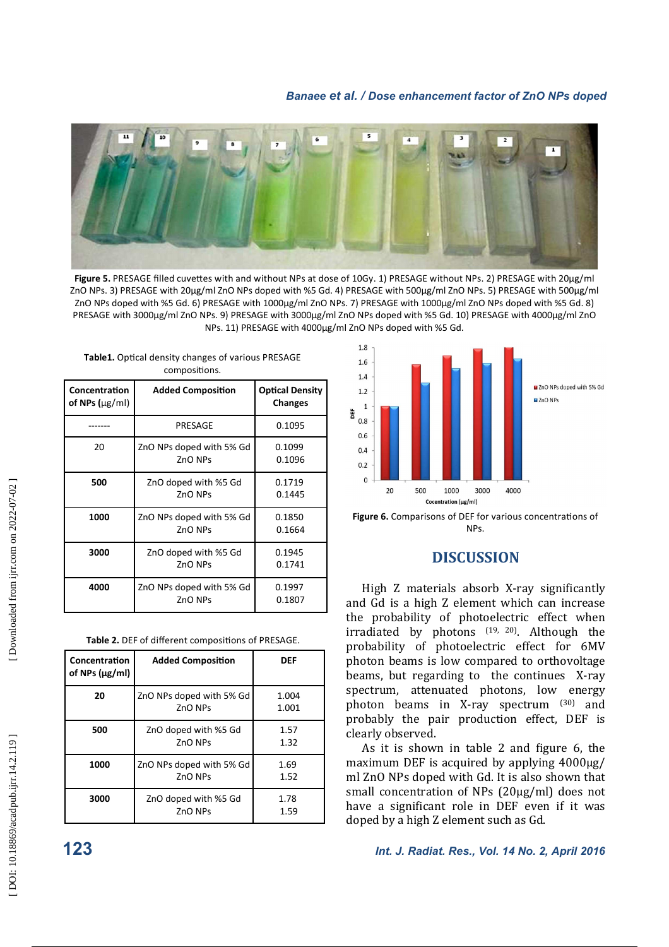

Figure 5. PRESAGE filled cuvettes with and without NPs at dose of 10Gy. 1) PRESAGE without NPs. 2) PRESAGE with 20µg/ml ZnO NPs. 3) PRESAGE with 20µg/ml ZnO NPs doped with %5 Gd. 4) PRESAGE with 500µg/ml ZnO NPs. 5) PRESAGE with 500µg/ml ZnO NPs doped with %5 Gd. 6) PRESAGE with 1000µg/ml ZnO NPs. 7) PRESAGE with 1000µg/ml ZnO NPs doped with %5 Gd. 8) PRESAGE with 3000ug/ml ZnO NPs. 9) PRESAGE with 3000ug/ml ZnO NPs doped with %5 Gd. 10) PRESAGE with 4000ug/ml ZnO NPs. 11) PRESAGE with 4000µg/ml ZnO NPs doped with %5 Gd.

| Concentration<br>of NPs $(\mu$ g/ml) | <b>Added Composition</b>            | <b>Optical Density</b><br><b>Changes</b> |  |
|--------------------------------------|-------------------------------------|------------------------------------------|--|
|                                      | PRESAGE                             | 0.1095                                   |  |
| 20                                   | ZnO NPs doped with 5% Gd<br>ZnO NPs | 0.1099<br>0.1096                         |  |
| 500                                  | ZnO doped with %5 Gd<br>ZnO NPs     | 0.1719<br>0.1445                         |  |
| 1000                                 | ZnO NPs doped with 5% Gd<br>ZnO NPs | 0.1850<br>0.1664                         |  |
| 3000                                 | ZnO doped with %5 Gd<br>ZnO NPs     | 0.1945<br>0.1741                         |  |
| 4000                                 | ZnO NPs doped with 5% Gd<br>ZnO NPs | 0.1997<br>0.1807                         |  |

Table1. Optical density changes of various PRESAGE compositions

| Concentration<br>of NPs $(\mu g/ml)$ | <b>Added Composition</b>            | DEF            |
|--------------------------------------|-------------------------------------|----------------|
| 20                                   | ZnO NPs doped with 5% Gd<br>ZnO NPs | 1.004<br>1.001 |
| 500                                  | ZnO doped with %5 Gd<br>ZnO NPs     | 1.57<br>1.32   |
| 1000                                 | ZnO NPs doped with 5% Gd<br>ZnO NPs | 1.69<br>1.52   |
| 3000                                 | ZnO doped with %5 Gd<br>ZnO NPs     | 1.78<br>1.59   |



Figure 6. Comparisons of DEF for various concentrations of NPs.

# **DISCUSSION**

High Z materials absorb X-ray significantly and Gd is a high Z element which can increase the probability of photoelectric effect when irradiated by photons (19, 20). Although the probability of photoelectric effect for 6MV photon beams is low compared to orthovoltage beams, but regarding to the continues X-ray spectrum, attenuated photons, low energy photon beams in X-ray spectrum (30) and probably the pair production effect, DEF is clearly observed.

As it is shown in table 2 and figure 6, the maximum DEF is acquired by applying  $4000\mu$ g/ ml ZnO NPs doped with Gd. It is also shown that small concentration of NPs (20µg/ml) does not have a significant role in DEF even if it was doped by a high Z element such as Gd.

**123** *Int. J. Radiat. Res., Vol. 14 No. 2, April 2016*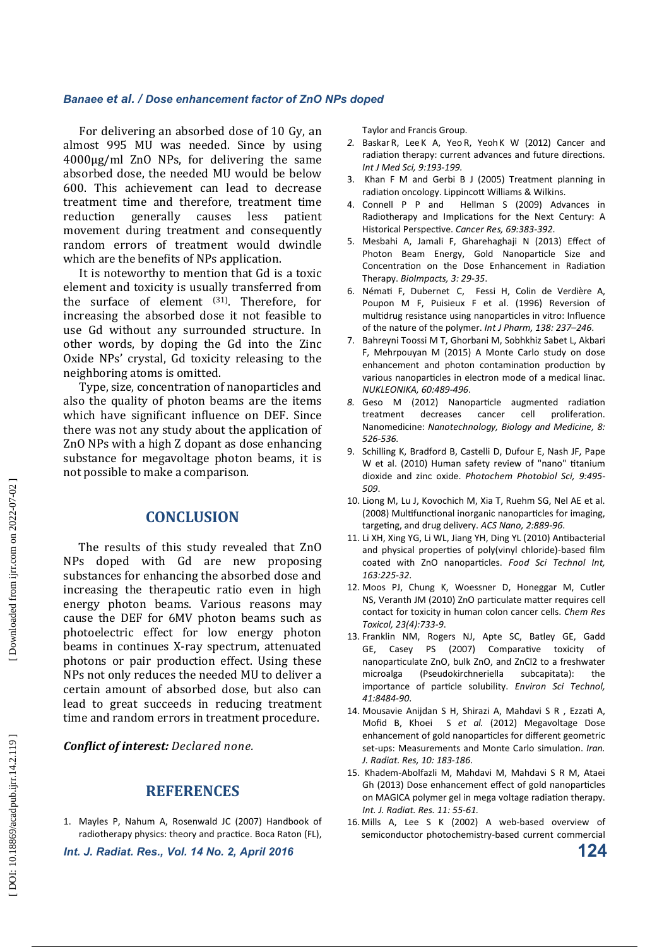For delivering an absorbed dose of 10 Gy, an almost 995 MU was needed. Since by using  $4000\mu g/ml$  ZnO NPs, for delivering the same absorbed dose, the needed MU would be below 600. This achievement can lead to decrease treatment time and therefore, treatment time reduction generally causes less patient movement during treatment and consequently random errors of treatment would dwindle which are the benefits of NPs application.

It is noteworthy to mention that Gd is a toxic element and toxicity is usually transferred from the surface of element <sup>(31)</sup>. Therefore, for increasing the absorbed dose it not feasible to use Gd without any surrounded structure. In other words, by doping the Gd into the Zinc Oxide NPs' crystal, Gd toxicity releasing to the neighboring atoms is omitted.

Type, size, concentration of nanoparticles and also the quality of photon beams are the items which have significant influence on DEF. Since there was not any study about the application of ZnO NPs with a high Z dopant as dose enhancing substance for megavoltage photon beams, it is not possible to make a comparison.

# **CONCLUSION**

The results of this study revealed that ZnO NPs doped with Gd are new proposing substances for enhancing the absorbed dose and increasing the therapeutic ratio even in high energy photon beams. Various reasons may cause the DEF for 6MV photon beams such as photoelectric effect for low energy photon beams in continues X-ray spectrum, attenuated photons or pair production effect. Using these NPs not only reduces the needed MU to deliver a certain amount of absorbed dose, but also can lead to great succeeds in reducing treatment time and random errors in treatment procedure.

*Conflict of interest: Declared none.* 

# **REFERENCES**

1. Mayles P, Nahum A, Rosenwald JC (2007) Handbook of radiotherapy physics: theory and practice. Boca Raton (FL),

*Int. J. Radiat. Res., Vol. 14 No. 2, April 2016* **124**

Taylor and Francis Group.

- *2.* Baskar R, Lee K A, Yeo R, YeohK W (2012) Cancer and radiation therapy: current advances and future directions. *Int J Med Sci, 9:193-199.*
- 3. Khan F M and Gerbi B J (2005) Treatment planning in radiation oncology. Lippincott Williams & Wilkins.
- 4. Connell P P and Hellman S (2009) Advances in Radiotherapy and Implications for the Next Century: A Historical Perspective. Cancer Res, 69:383-392.
- 5. Mesbahi A, Jamali F, Gharehaghaji N (2013) Effect of Photon Beam Energy, Gold Nanoparticle Size and Concentration on the Dose Enhancement in Radiation Therapy. *BioImpacts, 3: 29-35*.
- 6. Némati F, Dubernet C, Fessi H, Colin de Verdière A, Poupon M F, Puisieux F et al. (1996) Reversion of multidrug resistance using nanoparticles in vitro: Influence of the nature of the polymer. *Int J Pharm, 138: 237–246*.
- 7. Bahreyni Toossi M T, Ghorbani M, Sobhkhiz Sabet L, Akbari F, Mehrpouyan M (2015) A Monte Carlo study on dose enhancement and photon contamination production by various nanoparticles in electron mode of a medical linac. *NUKLEONIKA, 60:489-496*.
- 8. Geso M (2012) Nanoparticle augmented radiation treatment decreases cancer cell proliferation. Nanomedicine: *Nanotechnology, Biology and Medicine, 8: 526-536.*
- 9. Schilling K, Bradford B, Castelli D, Dufour E, Nash JF, Pape W et al. (2010) Human safety review of "nano" titanium dioxide and zinc oxide. *Photochem Photobiol Sci, 9:495- 509*.
- 10. Liong M, Lu J, Kovochich M, Xia T, Ruehm SG, Nel AE et al. (2008) Multifunctional inorganic nanoparticles for imaging, targeting, and drug delivery. *ACS Nano, 2:889-96*.
- 11. Li XH, Xing YG, Li WL, Jiang YH, Ding YL (2010) Antibacterial and physical properties of poly(vinyl chloride)-based film coated with ZnO nanoparticles. Food Sci Technol Int, *163:225-32*.
- 12. Moos PJ, Chung K, Woessner D, Honeggar M, Cutler NS, Veranth JM (2010) ZnO particulate matter requires cell contact for toxicity in human colon cancer cells. *Chem Res Toxicol, 23(4):733-9*.
- 13. Franklin NM, Rogers NJ, Apte SC, Batley GE, Gadd GE, Casey PS (2007) Comparative toxicity of nanoparticulate ZnO, bulk ZnO, and ZnCl2 to a freshwater microalga (Pseudokirchneriella subcapitata): the importance of particle solubility. *Environ Sci Technol, 41:8484-90*.
- 14. Mousavie Anijdan S H, Shirazi A, Mahdavi S R , Ezzati A, Mofid B, Khoei S *et al.* (2012) Megavoltage Dose enhancement of gold nanoparticles for different geometric set-ups: Measurements and Monte Carlo simulation. Iran. *J. Radiat. Res, 10: 183-186*.
- 15. Khadem-Abolfazli M, Mahdavi M, Mahdavi S R M, Ataei Gh (2013) Dose enhancement effect of gold nanoparticles on MAGICA polymer gel in mega voltage radiation therapy. *Int. J. Radiat. Res. 11: 55-61.*
- 16. Mills A, Lee S K (2002) A web-based overview of semiconductor photochemistry-based current commercial